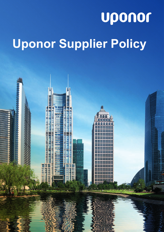# uponor **Uponor Supplier Policy**

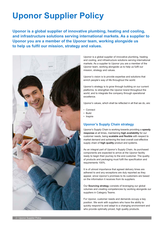### **Uponor Supplier Policy**

**Uponor is a global supplier of innovative plumbing, heating and cooling, and infrastructure solutions serving international markets. As a supplier to Uponor you are a member of the Uponor team, working alongside us to help us fulfil our mission, strategy and values.**



Uponor is a global supplier of innovative plumbing, heating and cooling, and infrastructure solutions serving international markets. As a supplier to Uponor you are a member of the Uponor team, working alongside us to help us fulfil our mission, strategy and values.

Uponor's vision is to provide expertise and solutions that enrich people's way of life throughout the world.

Uponor's strategy is to grow through building on our current platforms; to strengthen the Uponor brand throughout the world; and to integrate the company through operational excellence.

Uponor's values, which shall be reflected in all that we do, are:

- Connect
- Build
- Inspire

### **Uponor's Supply Chain strategy**

Uponor's Supply Chain is working towards providing a **speedy response** at all times, maintaining **high availability** for our customer needs, being **scalable and flexible** with respect to market demand and achieving the best overall cost-effective supply chain of **high quality** product and systems.

As an integral part of Uponor's Supply Chain, its purchased components are expected to arrive at the Uponor facility ready to begin their journey to the end customer. The quality of products and packaging must fulfil the specification and requirements 100%.

It is of utmost importance that agreed delivery times are adhered to and any exceptions are duly reported as they appear, since Uponor's promises to its customers are based on the information it receives from its suppliers.

Our **Sourcing strateg**y consists of leveraging our global volumes and creating competencies by working alongside our suppliers in Category Teams.

For Uponor, customer needs and demands occupy a key position. We work with suppliers who have the ability to quickly respond to and adapt to a changing environment and who provide optimally priced, high quality products.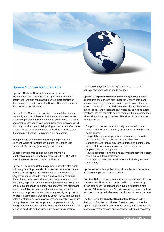

### **Uponor Supplier Requirements**

Uponor's **Code of Conduct** can be accessed at www.uponor.com. While the code applies to all Uponor employees, we also require that our suppliers familiarise themselves with and honour the Uponor Code of Conduct in their dealings with Uponor.

Central to the Code of Conduct is Uponor's determination to comply with the highest ethical standards as well as the letter of applicable international and national laws. In all of its agreements, Uponor strives for mutual satisfaction and good faith, high product quality, fair pricing and excellent after-sales service. We treat all stakeholders, including suppliers, with the same mind set as we approach our customers.

Any questions or concerns regarding compliance with Uponor's Code of Conduct can be sent to Uponor Vice President of Sourcing (sourcing@uponor.com).

Suppliers must agree to introduce and maintain a **Quality Management System** according to ISO 9001:2008, or equivalent system recognised by Uponor.

Uponor's **Environmental Management** principles also apply to its suppliers. Suppliers should implement an environmental policy, addressing actions and metrics for the reduction of  $\mathrm{CO}_2$  emissions in line with industry aspirations, and ensure that all their operations and processes comply with relevant standards, legislation and international conventions. Suppliers should also undertake to identify and document the significant environmental aspects of manufacturing or providing the materials, components and services they supply to Uponor as well as implementing a programme of continuous improvement of their sustainability performance. Uponor strongly encourages its suppliers and their sub-suppliers to implement not only energy efficient solutions and practices in the manufacture and supply of products and services but also an Environmental

Management System according to ISO 14001:2004, or equivalent system recognised by Uponor.

Uponor's **Corporate Responsibility** principles require that all products and services sold under the Uponor brand are sourced according to practices which uphold internationally accepted standards. Our aim is to ensure that environmental, ethical, social, and health and safety issues, as well as labour practices, are not separate add-on features, but are embedded within all our sourcing processes. Therefore Uponor requires its suppliers to:

- Support and respect internationally proclaimed human rights and make sure that they are not complicit in human rights abuses
- Respect the right of all personnel to form and join trade unions of their choice and to bargain collectively
- Support the abolition of any form of forced and compulsory labour, child labour and discrimination in respect of employment and occupation
- Have a documented health and safety management system compliant with local legislation
- Work against corruption in all its forms, including extortion and bribery.

Uponor expects its suppliers to apply similar requirements in their own supply chain organisations.

**Confidentiality** in business matters is a requirement of doing business with Uponor. All suppliers will be required to sign a Non-disclosure Agreement upon initial discussions with Uponor. Additionally, a new Non-disclosure Agreement will be required to be signed whenever the circumstances so require.

The first step in the **Supplier Qualification Process** is to fill in the Uponor Supplier Qualification Questionnaire, provided by Uponor. Supplier qualification includes audits, manufacturing and technology verification and any other checks deemed necessary.